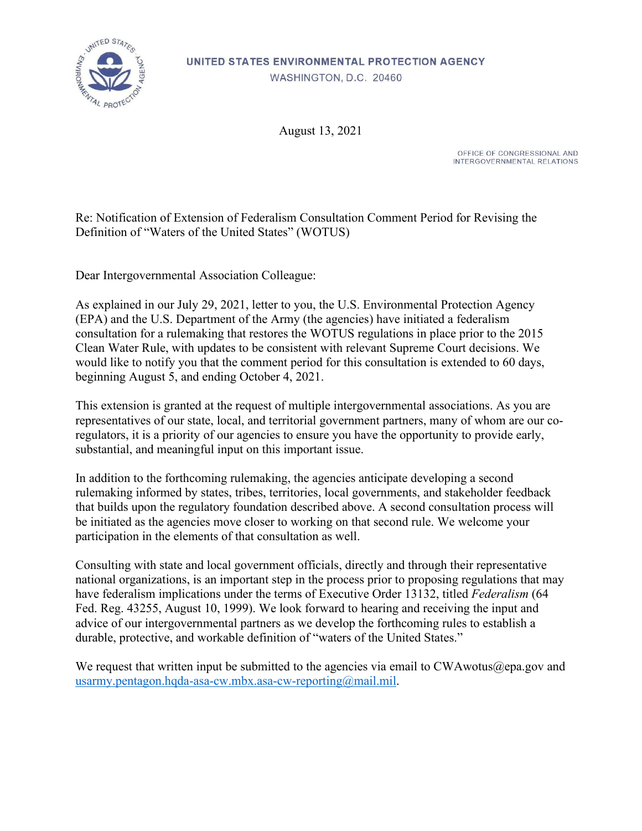

## UNITED STATES ENVIRONMENTAL PROTECTION AGENCY WASHINGTON, D.C. 20460

August 13, 2021

OFFICE OF CONGRESSIONAL AND INTERGOVERNMENTAL RELATIONS

Re: Notification of Extension of Federalism Consultation Comment Period for Revising the Definition of "Waters of the United States" (WOTUS)

Dear Intergovernmental Association Colleague:

As explained in our July 29, 2021, letter to you, the U.S. Environmental Protection Agency (EPA) and the U.S. Department of the Army (the agencies) have initiated a federalism consultation for a rulemaking that restores the WOTUS regulations in place prior to the 2015 Clean Water Rule, with updates to be consistent with relevant Supreme Court decisions. We would like to notify you that the comment period for this consultation is extended to 60 days, beginning August 5, and ending October 4, 2021.

This extension is granted at the request of multiple intergovernmental associations. As you are representatives of our state, local, and territorial government partners, many of whom are our coregulators, it is a priority of our agencies to ensure you have the opportunity to provide early, substantial, and meaningful input on this important issue.

In addition to the forthcoming rulemaking, the agencies anticipate developing a second rulemaking informed by states, tribes, territories, local governments, and stakeholder feedback that builds upon the regulatory foundation described above. A second consultation process will be initiated as the agencies move closer to working on that second rule. We welcome your participation in the elements of that consultation as well.

Consulting with state and local government officials, directly and through their representative national organizations, is an important step in the process prior to proposing regulations that may have federalism implications under the terms of Executive Order 13132, titled *Federalism* (64 Fed. Reg. 43255, August 10, 1999). We look forward to hearing and receiving the input and advice of our intergovernmental partners as we develop the forthcoming rules to establish a durable, protective, and workable definition of "waters of the United States."

We request that written input be submitted to the agencies via email to CWAwotus@epa.gov and [usarmy.pentagon.hqda-asa-cw.mbx.asa-cw-reporting@mail.mil.](mailto:usarmy.pentagon.hqda-asa-cw.mbx.asa-cw-reporting@mail.mil)